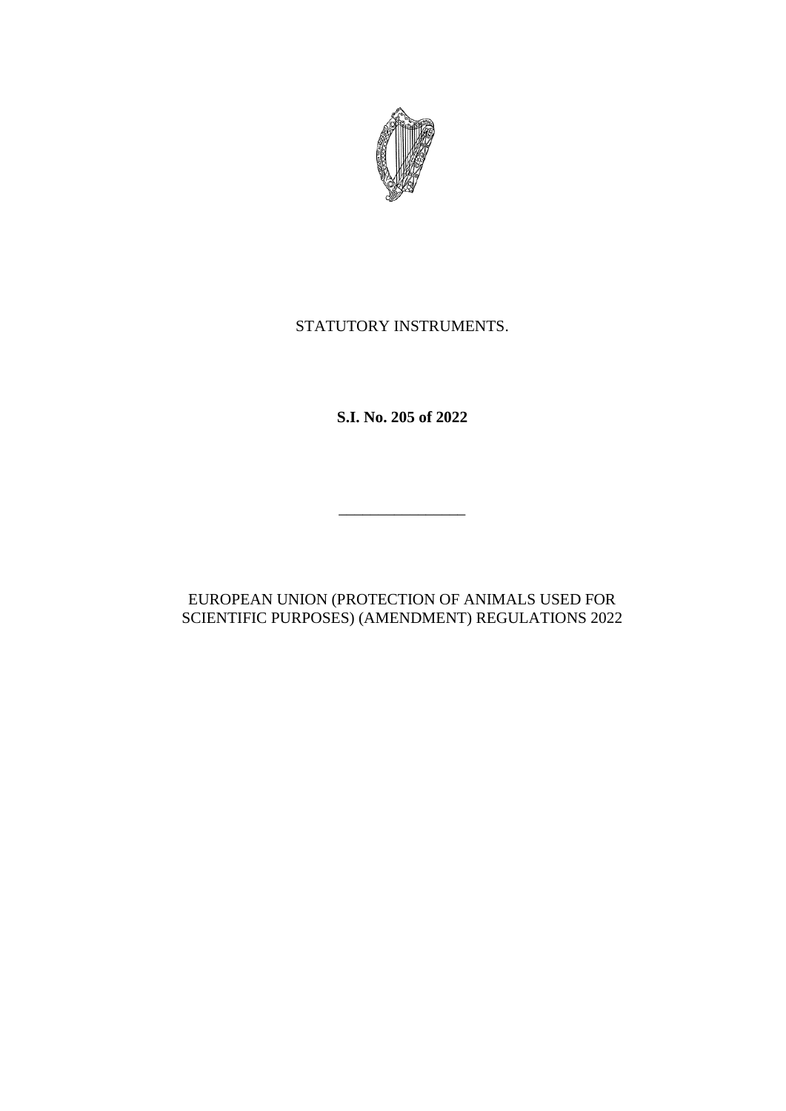

# STATUTORY INSTRUMENTS.

**S.I. No. 205 of 2022**

# EUROPEAN UNION (PROTECTION OF ANIMALS USED FOR SCIENTIFIC PURPOSES) (AMENDMENT) REGULATIONS 2022

\_\_\_\_\_\_\_\_\_\_\_\_\_\_\_\_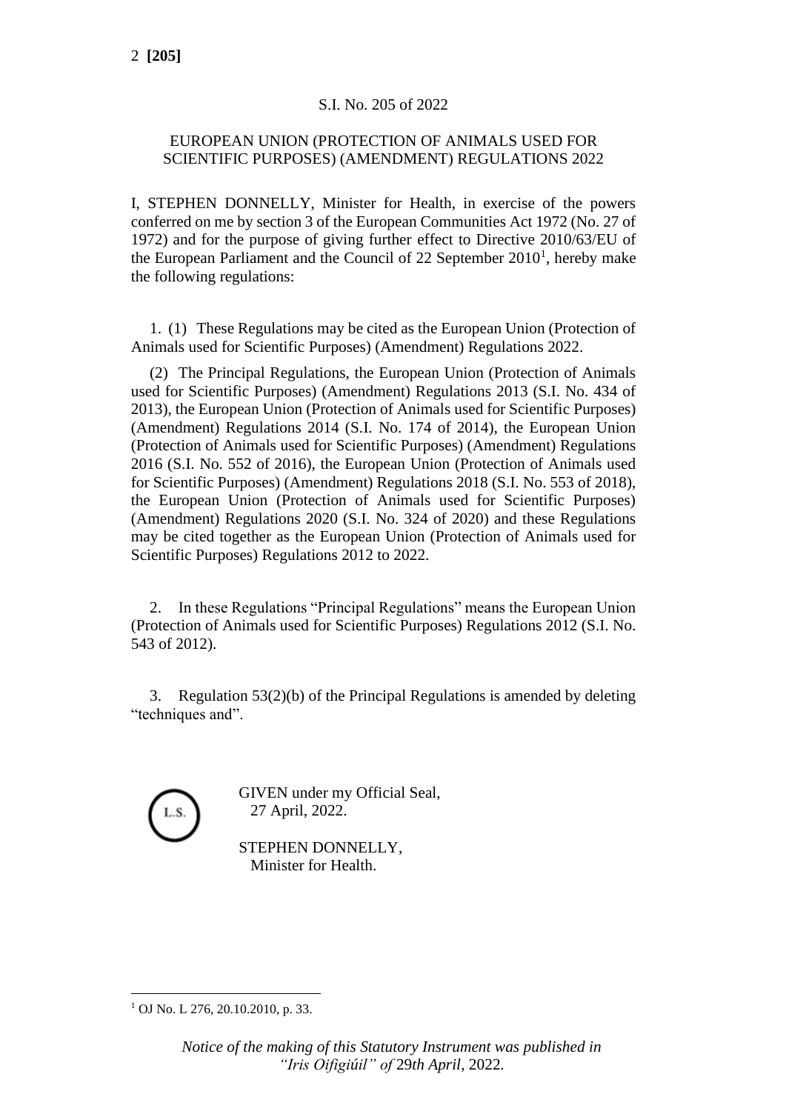## S.I. No. 205 of 2022

### EUROPEAN UNION (PROTECTION OF ANIMALS USED FOR SCIENTIFIC PURPOSES) (AMENDMENT) REGULATIONS 2022

I, STEPHEN DONNELLY, Minister for Health, in exercise of the powers conferred on me by section 3 of the European Communities Act 1972 (No. 27 of 1972) and for the purpose of giving further effect to Directive 2010/63/EU of the European Parliament and the Council of 22 September  $2010<sup>1</sup>$ , hereby make the following regulations:

1. (1) These Regulations may be cited as the European Union (Protection of Animals used for Scientific Purposes) (Amendment) Regulations 2022.

(2) The Principal Regulations, the European Union (Protection of Animals used for Scientific Purposes) (Amendment) Regulations 2013 (S.I. No. 434 of 2013), the European Union (Protection of Animals used for Scientific Purposes) (Amendment) Regulations 2014 (S.I. No. 174 of 2014), the European Union (Protection of Animals used for Scientific Purposes) (Amendment) Regulations 2016 (S.I. No. 552 of 2016), the European Union (Protection of Animals used for Scientific Purposes) (Amendment) Regulations 2018 (S.I. No. 553 of 2018), the European Union (Protection of Animals used for Scientific Purposes) (Amendment) Regulations 2020 (S.I. No. 324 of 2020) and these Regulations may be cited together as the European Union (Protection of Animals used for Scientific Purposes) Regulations 2012 to 2022.

2. In these Regulations "Principal Regulations" means the European Union (Protection of Animals used for Scientific Purposes) Regulations 2012 (S.I. No. 543 of 2012).

3. Regulation 53(2)(b) of the Principal Regulations is amended by deleting "techniques and".



GIVEN under my Official Seal, 27 April, 2022.

STEPHEN DONNELLY, Minister for Health.

<sup>&</sup>lt;sup>1</sup> OJ No. L 276, 20.10.2010, p. 33.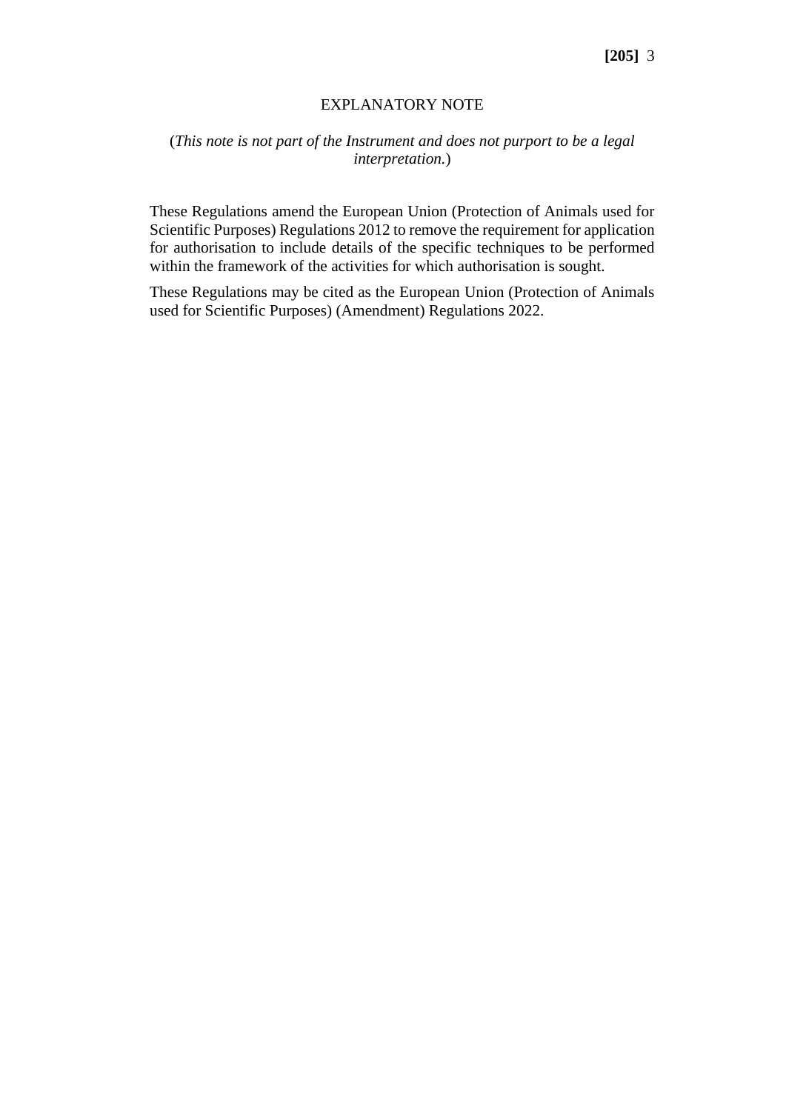#### EXPLANATORY NOTE

## (*This note is not part of the Instrument and does not purport to be a legal interpretation.*)

These Regulations amend the European Union (Protection of Animals used for Scientific Purposes) Regulations 2012 to remove the requirement for application for authorisation to include details of the specific techniques to be performed within the framework of the activities for which authorisation is sought.

These Regulations may be cited as the European Union (Protection of Animals used for Scientific Purposes) (Amendment) Regulations 2022.